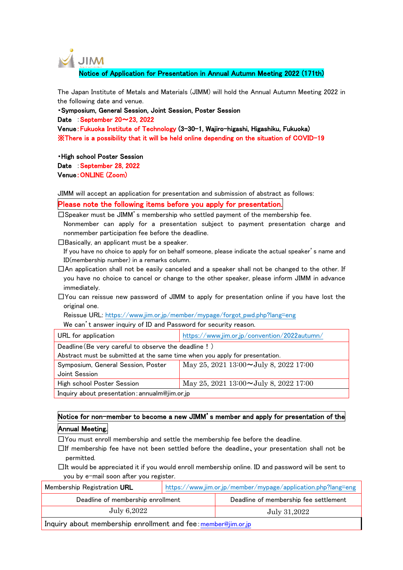

Notice of Application for Presentation in Annual Autumn Meeting 2022 (171th)

The Japan Institute of Metals and Materials (JIMM) will hold the Annual Autumn Meeting 2022 in the following date and venue.

・Symposium, General Session, Joint Session, Poster Session Date : September 20~23, 2022 Venue:Fukuoka Institute of Technology (3-30-1, Wajiro-higashi, Higashiku, Fukuoka) ※There is a possibility that it will be held online depending on the situation of COVID-19

・High school Poster Session Date September 28, 2022 Venue:ONLINE (Zoom)

JIMM will accept an application for presentation and submission of abstract as follows:

Please note the following items before you apply for presentation.

 $\Box$ Speaker must be JIMM's membership who settled payment of the membership fee.

Nonmember can apply for a presentation subject to payment presentation charge and nonmember participation fee before the deadline.

 $\square$ Basically, an applicant must be a speaker.

If you have no choice to apply for on behalf someone, please indicate the actual speaker's name and ID(membership number) in a remarks column.

 $\Box$ An application shall not be easily canceled and a speaker shall not be changed to the other. If you have no choice to cancel or change to the other speaker, please inform JIMM in advance immediately.

 $\square$ You can reissue new password of JIMM to apply for presentation online if you have lost the original one.

Reissue URL: https://www.jim.or.jp/member/mypage/forgot\_pwd.php?lang=eng

We can't answer inquiry of ID and Password for security reason.

| URL for application                                                          | https://www.jim.or.jp/convention/2022autumn/ |  |  |
|------------------------------------------------------------------------------|----------------------------------------------|--|--|
| Deadline (Be very careful to observe the deadline!)                          |                                              |  |  |
| Abstract must be submitted at the same time when you apply for presentation. |                                              |  |  |
| Symposium, General Session, Poster                                           | May 25, 2021 13:00 $\sim$ July 8, 2022 17:00 |  |  |
| Joint Session                                                                |                                              |  |  |
| High school Poster Session                                                   | May 25, 2021 13:00 $\sim$ July 8, 2022 17:00 |  |  |
| Inquiry about presentation: annualm@jim.or.jp                                |                                              |  |  |

Notice for non-member to become a new JIMM's member and apply for presentation of the Annual Meeting.

 $\square$ You must enroll membership and settle the membership fee before the deadline.

 $\Box$ If membership fee have not been settled before the deadline, your presentation shall not be permitted.

 $\Box$ It would be appreciated it if you would enroll membership online. ID and password will be sent to you by e-mail soon after you register.

| Membership Registration URL       | https://www.jim.or.jp/member/mypage/application.php?lang=eng |                                       |  |
|-----------------------------------|--------------------------------------------------------------|---------------------------------------|--|
| Deadline of membership enrollment |                                                              | Deadline of membership fee settlement |  |
| July 6,2022                       | July 31,2022                                                 |                                       |  |
|                                   |                                                              |                                       |  |

Inquiry about membership enrollment and fee: member@jim.or.jp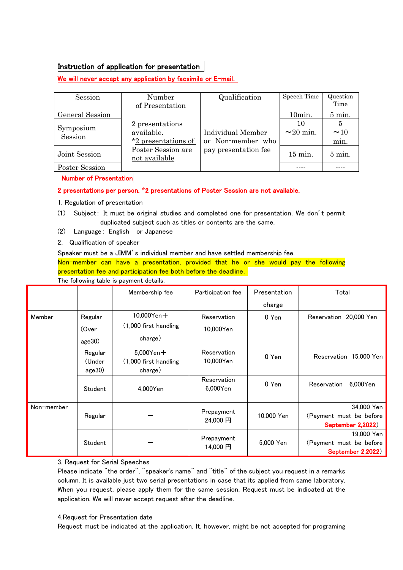## Instruction of application for presentation

We will never accept any application by facsimile or E-mail.

| Session              | Number                              | Qualification        | Speech Time    | Question         |
|----------------------|-------------------------------------|----------------------|----------------|------------------|
|                      | of Presentation                     |                      |                | Time             |
| General Session      |                                     |                      | 10min.         | 5 min.           |
|                      | 2 presentations                     |                      | 10             | 5                |
| Symposium<br>Session | available.                          | Individual Member    | $\sim$ 20 min. | ~10              |
|                      | *2 presentations of                 | or Non-member who    |                | min.             |
| Joint Session        | Poster Session are<br>not available | pay presentation fee | $15$ min.      | $5 \text{ min.}$ |
| Poster Session       |                                     |                      |                |                  |

Number of Presentation

## 2 presentations per person. \*2 presentations of Poster Session are not available.

1. Regulation of presentation

- (1) Subject: It must be original studies and completed one for presentation.We don't permit duplicated subject such as titles or contents are the same.
- (2) Language: English or Japanese
- 2. Qualification of speaker

Speaker must be a JIMM's individual member and have settled membership fee.

Non-member can have a presentation, provided that he or she would pay the following presentation fee and participation fee both before the deadline.

The following table is payment details.

|            |                             | Membership fee                                      | Participation fee          | Presentation | Total                                                      |
|------------|-----------------------------|-----------------------------------------------------|----------------------------|--------------|------------------------------------------------------------|
|            |                             |                                                     |                            | charge       |                                                            |
| Member     | Regular                     | $10,000$ Yen $+$                                    | Reservation                | 0 Yen        | Reservation 20,000 Yen                                     |
|            | (Over                       | (1,000 first handling                               | 10,000Yen                  |              |                                                            |
|            | age30)                      | charge)                                             |                            |              |                                                            |
|            | Regular<br>(Under<br>age30) | $5,000$ Yen $+$<br>(1,000 first handling<br>charge) | Reservation<br>10,000Yen   | 0 Yen        | Reservation 15,000 Yen                                     |
|            | Student                     | 4.000Yen                                            | Reservation<br>$6.000$ Yen | 0 Yen        | 6.000Yen<br>Reservation                                    |
| Non-member | Regular                     |                                                     | Prepayment<br>24,000 円     | 10,000 Yen   | 34,000 Yen<br>(Payment must be before<br>September 2,2022) |
|            | Student                     |                                                     | Prepayment<br>14,000円      | 5,000 Yen    | 19,000 Yen<br>(Payment must be before<br>September 2,2022) |

3. Request for Serial Speeches

Please indicate "the order", "speaker's name" and "title" of the subject you request in a remarks column. It is available just two serial presentations in case that its applied from same laboratory. When you request, please apply them for the same session. Request must be indicated at the application. We will never accept request after the deadline.

#### 4.Request for Presentation date

Request must be indicated at the application. It, however, might be not accepted for programing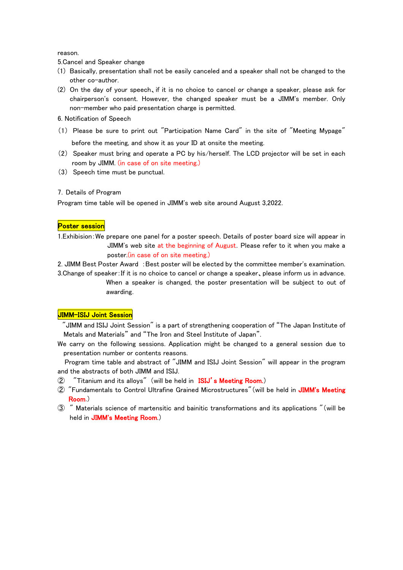reason.

5.Cancel and Speaker change

- (1) Basically, presentation shall not be easily canceled and a speaker shall not be changed to the other co-author.
- (2) On the day of your speech、if it is no choice to cancel or change a speaker, please ask for chairperson's consent. However, the changed speaker must be a JIMM's member. Only non-member who paid presentation charge is permitted.

6. Notification of Speech

- (1) Please be sure to print out "Participation Name Card" in the site of "Meeting Mypage" before the meeting, and show it as your ID at onsite the meeting.
- (2) Speaker must bring and operate a PC by his/herself. The LCD projector will be set in each room by JIMM. (in case of on site meeting.)
- (3) Speech time must be punctual.

### 7.Details of Program

Program time table will be opened in JIMM's web site around August 3,2022.

#### Poster session

1.Exhibision:We prepare one panel for a poster speech. Details of poster board size will appear in JIMM's web site at the beginning of August. Please refer to it when you make a poster (in case of on site meeting.)

2. JIMM Best Poster Award : Best poster will be elected by the committee member's examination. 3.Change of speaker:If it is no choice to cancel or change a speaker、please inform us in advance.

> When a speaker is changed, the poster presentation will be subject to out of awarding.

## JIMM-ISIJ Joint Session

"JIMM and ISIJ Joint Session" is a part of strengthening cooperation of "The Japan Institute of Metals and Materials" and "The Iron and Steel Institute of Japan".

We carry on the following sessions. Application might be changed to a general session due to presentation number or contents reasons.

Program time table and abstract of "JIMM and ISIJ Joint Session" will appear in the program and the abstracts of both JIMM and ISIJ.

- ② "Titanium and its alloys" (will be held in ISIJ's Meeting Room.)
- ② "Fundamentals to Control Ultrafine Grained Microstructures"(will be held in JIMM's Meeting Room.)
- ③ " Materials science of martensitic and bainitic transformations and its applications "(will be held in JIMM's Meeting Room.)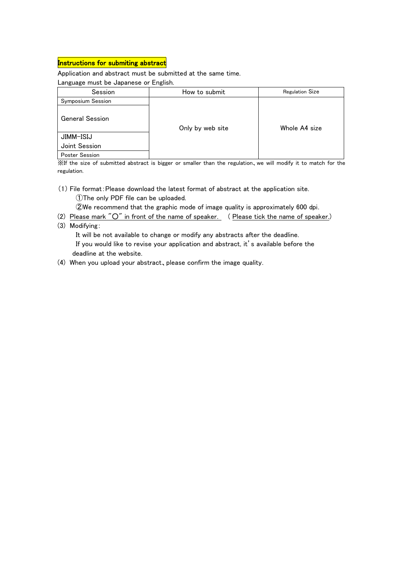# Instructions for submiting abstract

Application and abstract must be submitted at the same time.

Language must be Japanese or English.

| Session                | How to submit    | <b>Regulation Size</b> |  |
|------------------------|------------------|------------------------|--|
| Symposium Session      |                  |                        |  |
| <b>General Session</b> | Only by web site | Whole A4 size          |  |
| JIMM-ISIJ              |                  |                        |  |
| Joint Session          |                  |                        |  |
| <b>Poster Session</b>  |                  |                        |  |

※If the size of submitted abstract is bigger or smaller than the regulation、we will modify it to match for the regulation.

(1) File format:Please download the latest format of abstract at the application site. ①The only PDF file can be uploaded.

②We recommend that the graphic mode of image quality is approximately 600 dpi.

- (2) Please mark "O" in front of the name of speaker. (Please tick the name of speaker.)
- (3) Modifying:

 It will be not available to change or modify any abstracts after the deadline. If you would like to revise your application and abstract, it's available before the deadline at the website.

(4) When you upload your abstract、please confirm the image quality.